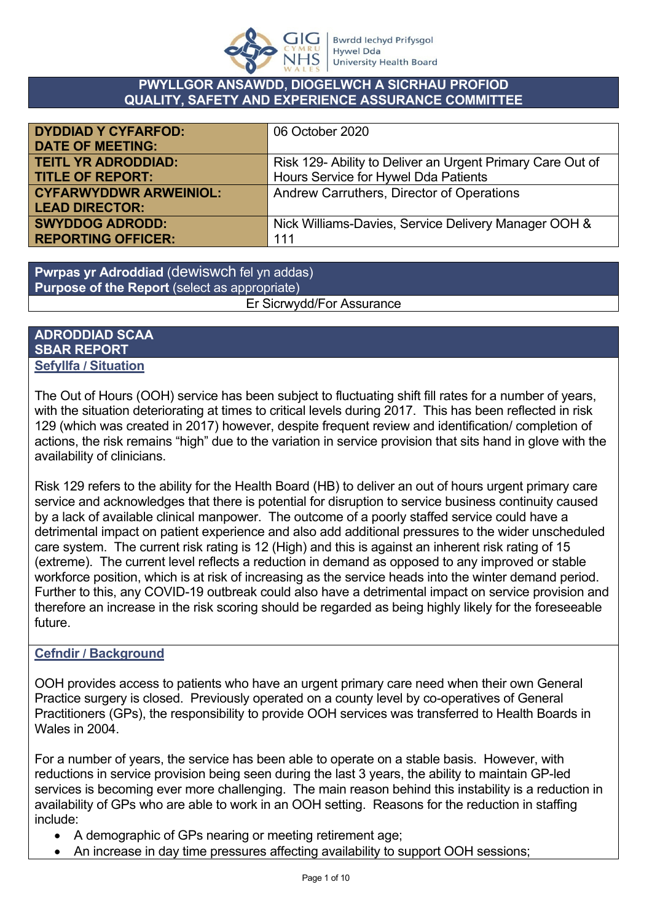

### **PWYLLGOR ANSAWDD, DIOGELWCH A SICRHAU PROFIOD QUALITY, SAFETY AND EXPERIENCE ASSURANCE COMMITTEE**

| <b>DYDDIAD Y CYFARFOD:</b>    | 06 October 2020                                            |
|-------------------------------|------------------------------------------------------------|
| <b>DATE OF MEETING:</b>       |                                                            |
| <b>TEITL YR ADRODDIAD:</b>    | Risk 129- Ability to Deliver an Urgent Primary Care Out of |
| <b>TITLE OF REPORT:</b>       | Hours Service for Hywel Dda Patients                       |
| <b>CYFARWYDDWR ARWEINIOL:</b> | Andrew Carruthers, Director of Operations                  |
| <b>LEAD DIRECTOR:</b>         |                                                            |
| <b>SWYDDOG ADRODD:</b>        | Nick Williams-Davies, Service Delivery Manager OOH &       |
| <b>REPORTING OFFICER:</b>     | 111                                                        |

**Pwrpas yr Adroddiad** (dewiswch fel yn addas) **Purpose of the Report** (select as appropriate) Er Sicrwydd/For Assurance

#### **ADRODDIAD SCAA SBAR REPORT Sefyllfa / Situation**

The Out of Hours (OOH) service has been subject to fluctuating shift fill rates for a number of years, with the situation deteriorating at times to critical levels during 2017. This has been reflected in risk 129 (which was created in 2017) however, despite frequent review and identification/ completion of actions, the risk remains "high" due to the variation in service provision that sits hand in glove with the availability of clinicians.

Risk 129 refers to the ability for the Health Board (HB) to deliver an out of hours urgent primary care service and acknowledges that there is potential for disruption to service business continuity caused by a lack of available clinical manpower. The outcome of a poorly staffed service could have a detrimental impact on patient experience and also add additional pressures to the wider unscheduled care system. The current risk rating is 12 (High) and this is against an inherent risk rating of 15 (extreme). The current level reflects a reduction in demand as opposed to any improved or stable workforce position, which is at risk of increasing as the service heads into the winter demand period. Further to this, any COVID-19 outbreak could also have a detrimental impact on service provision and therefore an increase in the risk scoring should be regarded as being highly likely for the foreseeable future.

## **Cefndir / Background**

OOH provides access to patients who have an urgent primary care need when their own General Practice surgery is closed. Previously operated on a county level by co-operatives of General Practitioners (GPs), the responsibility to provide OOH services was transferred to Health Boards in Wales in 2004.

For a number of years, the service has been able to operate on a stable basis. However, with reductions in service provision being seen during the last 3 years, the ability to maintain GP-led services is becoming ever more challenging. The main reason behind this instability is a reduction in availability of GPs who are able to work in an OOH setting. Reasons for the reduction in staffing include:

- A demographic of GPs nearing or meeting retirement age;
- An increase in day time pressures affecting availability to support OOH sessions;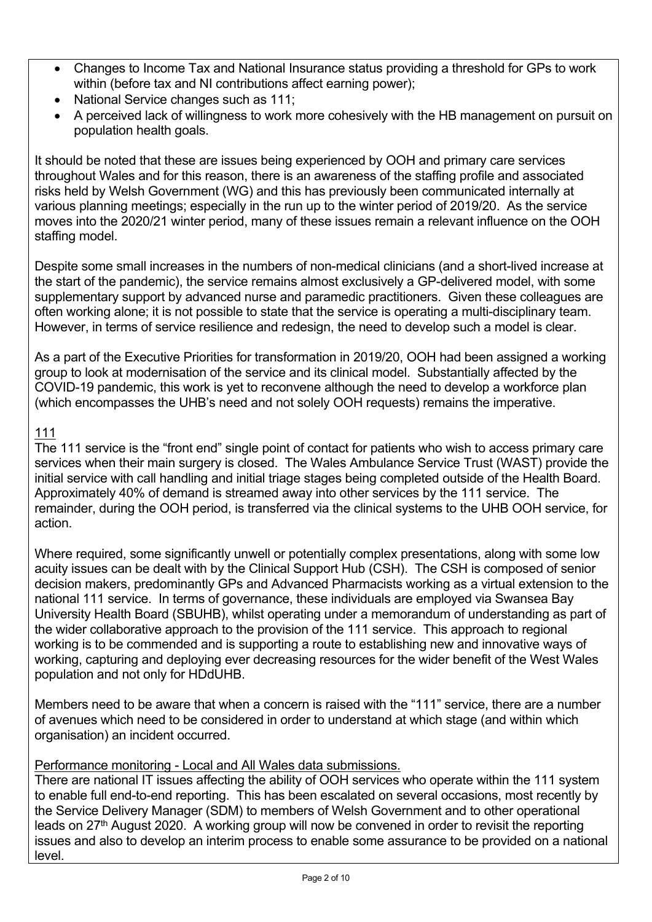- Changes to Income Tax and National Insurance status providing a threshold for GPs to work within (before tax and NI contributions affect earning power);
- National Service changes such as 111;
- A perceived lack of willingness to work more cohesively with the HB management on pursuit on population health goals.

It should be noted that these are issues being experienced by OOH and primary care services throughout Wales and for this reason, there is an awareness of the staffing profile and associated risks held by Welsh Government (WG) and this has previously been communicated internally at various planning meetings; especially in the run up to the winter period of 2019/20. As the service moves into the 2020/21 winter period, many of these issues remain a relevant influence on the OOH staffing model.

Despite some small increases in the numbers of non-medical clinicians (and a short-lived increase at the start of the pandemic), the service remains almost exclusively a GP-delivered model, with some supplementary support by advanced nurse and paramedic practitioners. Given these colleagues are often working alone; it is not possible to state that the service is operating a multi-disciplinary team. However, in terms of service resilience and redesign, the need to develop such a model is clear.

As a part of the Executive Priorities for transformation in 2019/20, OOH had been assigned a working group to look at modernisation of the service and its clinical model. Substantially affected by the COVID-19 pandemic, this work is yet to reconvene although the need to develop a workforce plan (which encompasses the UHB's need and not solely OOH requests) remains the imperative.

# 111

The 111 service is the "front end" single point of contact for patients who wish to access primary care services when their main surgery is closed. The Wales Ambulance Service Trust (WAST) provide the initial service with call handling and initial triage stages being completed outside of the Health Board. Approximately 40% of demand is streamed away into other services by the 111 service. The remainder, during the OOH period, is transferred via the clinical systems to the UHB OOH service, for action.

Where required, some significantly unwell or potentially complex presentations, along with some low acuity issues can be dealt with by the Clinical Support Hub (CSH). The CSH is composed of senior decision makers, predominantly GPs and Advanced Pharmacists working as a virtual extension to the national 111 service. In terms of governance, these individuals are employed via Swansea Bay University Health Board (SBUHB), whilst operating under a memorandum of understanding as part of the wider collaborative approach to the provision of the 111 service. This approach to regional working is to be commended and is supporting a route to establishing new and innovative ways of working, capturing and deploying ever decreasing resources for the wider benefit of the West Wales population and not only for HDdUHB.

Members need to be aware that when a concern is raised with the "111" service, there are a number of avenues which need to be considered in order to understand at which stage (and within which organisation) an incident occurred.

## Performance monitoring - Local and All Wales data submissions.

There are national IT issues affecting the ability of OOH services who operate within the 111 system to enable full end-to-end reporting. This has been escalated on several occasions, most recently by the Service Delivery Manager (SDM) to members of Welsh Government and to other operational leads on 27<sup>th</sup> August 2020. A working group will now be convened in order to revisit the reporting issues and also to develop an interim process to enable some assurance to be provided on a national level.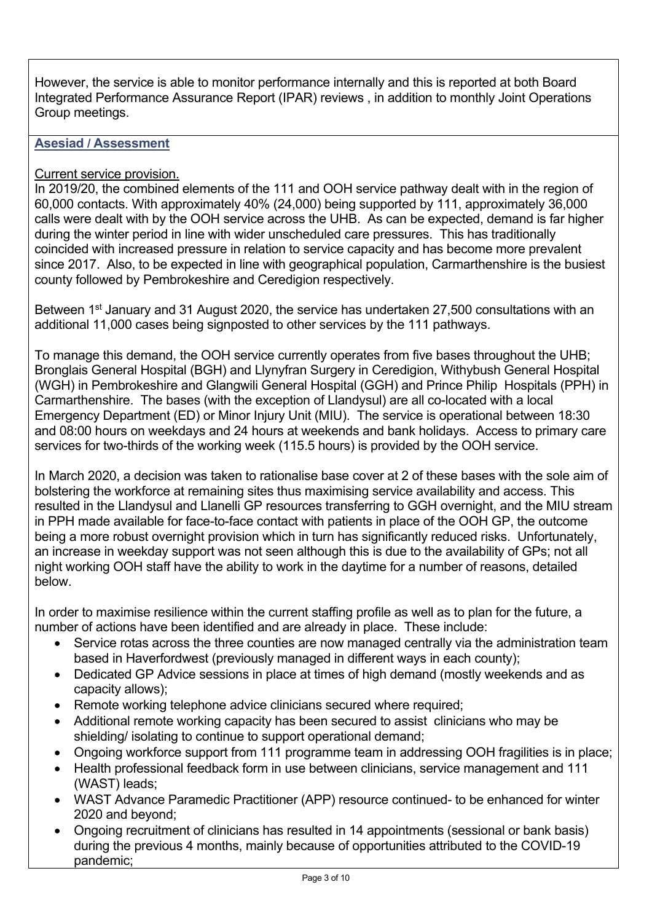However, the service is able to monitor performance internally and this is reported at both Board Integrated Performance Assurance Report (IPAR) reviews , in addition to monthly Joint Operations Group meetings.

### **Asesiad / Assessment**

#### Current service provision.

In 2019/20, the combined elements of the 111 and OOH service pathway dealt with in the region of 60,000 contacts. With approximately 40% (24,000) being supported by 111, approximately 36,000 calls were dealt with by the OOH service across the UHB. As can be expected, demand is far higher during the winter period in line with wider unscheduled care pressures. This has traditionally coincided with increased pressure in relation to service capacity and has become more prevalent since 2017. Also, to be expected in line with geographical population, Carmarthenshire is the busiest county followed by Pembrokeshire and Ceredigion respectively.

Between 1<sup>st</sup> January and 31 August 2020, the service has undertaken 27,500 consultations with an additional 11,000 cases being signposted to other services by the 111 pathways.

To manage this demand, the OOH service currently operates from five bases throughout the UHB; Bronglais General Hospital (BGH) and Llynyfran Surgery in Ceredigion, Withybush General Hospital (WGH) in Pembrokeshire and Glangwili General Hospital (GGH) and Prince Philip Hospitals (PPH) in Carmarthenshire. The bases (with the exception of Llandysul) are all co-located with a local Emergency Department (ED) or Minor Injury Unit (MIU). The service is operational between 18:30 and 08:00 hours on weekdays and 24 hours at weekends and bank holidays. Access to primary care services for two-thirds of the working week (115.5 hours) is provided by the OOH service.

In March 2020, a decision was taken to rationalise base cover at 2 of these bases with the sole aim of bolstering the workforce at remaining sites thus maximising service availability and access. This resulted in the Llandysul and Llanelli GP resources transferring to GGH overnight, and the MIU stream in PPH made available for face-to-face contact with patients in place of the OOH GP, the outcome being a more robust overnight provision which in turn has significantly reduced risks. Unfortunately, an increase in weekday support was not seen although this is due to the availability of GPs; not all night working OOH staff have the ability to work in the daytime for a number of reasons, detailed below.

In order to maximise resilience within the current staffing profile as well as to plan for the future, a number of actions have been identified and are already in place. These include:

- Service rotas across the three counties are now managed centrally via the administration team based in Haverfordwest (previously managed in different ways in each county);
- Dedicated GP Advice sessions in place at times of high demand (mostly weekends and as capacity allows);
- Remote working telephone advice clinicians secured where required;
- Additional remote working capacity has been secured to assist clinicians who may be shielding/ isolating to continue to support operational demand;
- Ongoing workforce support from 111 programme team in addressing OOH fragilities is in place;
- Health professional feedback form in use between clinicians, service management and 111 (WAST) leads;
- WAST Advance Paramedic Practitioner (APP) resource continued- to be enhanced for winter 2020 and beyond;
- Ongoing recruitment of clinicians has resulted in 14 appointments (sessional or bank basis) during the previous 4 months, mainly because of opportunities attributed to the COVID-19 pandemic;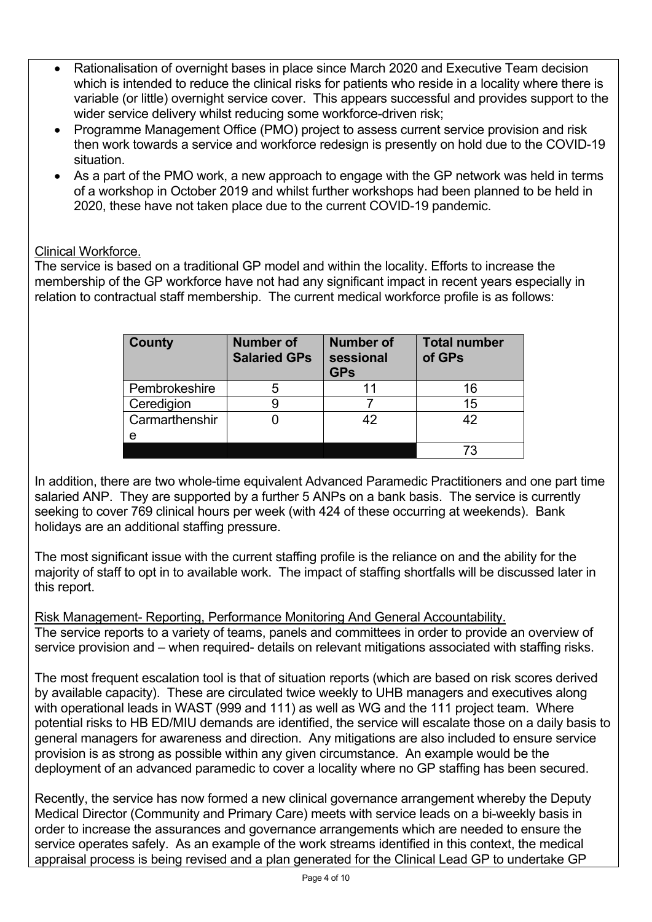- Rationalisation of overnight bases in place since March 2020 and Executive Team decision which is intended to reduce the clinical risks for patients who reside in a locality where there is variable (or little) overnight service cover. This appears successful and provides support to the wider service delivery whilst reducing some workforce-driven risk;
- Programme Management Office (PMO) project to assess current service provision and risk then work towards a service and workforce redesign is presently on hold due to the COVID-19 situation.
- As a part of the PMO work, a new approach to engage with the GP network was held in terms of a workshop in October 2019 and whilst further workshops had been planned to be held in 2020, these have not taken place due to the current COVID-19 pandemic.

## Clinical Workforce.

The service is based on a traditional GP model and within the locality. Efforts to increase the membership of the GP workforce have not had any significant impact in recent years especially in relation to contractual staff membership. The current medical workforce profile is as follows:

| <b>County</b>  | <b>Number of</b><br><b>Salaried GPs</b> | <b>Number of</b><br>sessional<br><b>GPs</b> | <b>Total number</b><br>of GPs |
|----------------|-----------------------------------------|---------------------------------------------|-------------------------------|
| Pembrokeshire  | 5                                       | 11                                          | 16                            |
| Ceredigion     |                                         |                                             | 15                            |
| Carmarthenshir |                                         | 42                                          | 42                            |
| е              |                                         |                                             |                               |
|                |                                         |                                             | 73                            |

In addition, there are two whole-time equivalent Advanced Paramedic Practitioners and one part time salaried ANP. They are supported by a further 5 ANPs on a bank basis. The service is currently seeking to cover 769 clinical hours per week (with 424 of these occurring at weekends). Bank holidays are an additional staffing pressure.

The most significant issue with the current staffing profile is the reliance on and the ability for the majority of staff to opt in to available work. The impact of staffing shortfalls will be discussed later in this report.

Risk Management- Reporting, Performance Monitoring And General Accountability. The service reports to a variety of teams, panels and committees in order to provide an overview of service provision and – when required- details on relevant mitigations associated with staffing risks.

The most frequent escalation tool is that of situation reports (which are based on risk scores derived by available capacity). These are circulated twice weekly to UHB managers and executives along with operational leads in WAST (999 and 111) as well as WG and the 111 project team. Where potential risks to HB ED/MIU demands are identified, the service will escalate those on a daily basis to general managers for awareness and direction. Any mitigations are also included to ensure service provision is as strong as possible within any given circumstance. An example would be the deployment of an advanced paramedic to cover a locality where no GP staffing has been secured.

Recently, the service has now formed a new clinical governance arrangement whereby the Deputy Medical Director (Community and Primary Care) meets with service leads on a bi-weekly basis in order to increase the assurances and governance arrangements which are needed to ensure the service operates safely. As an example of the work streams identified in this context, the medical appraisal process is being revised and a plan generated for the Clinical Lead GP to undertake GP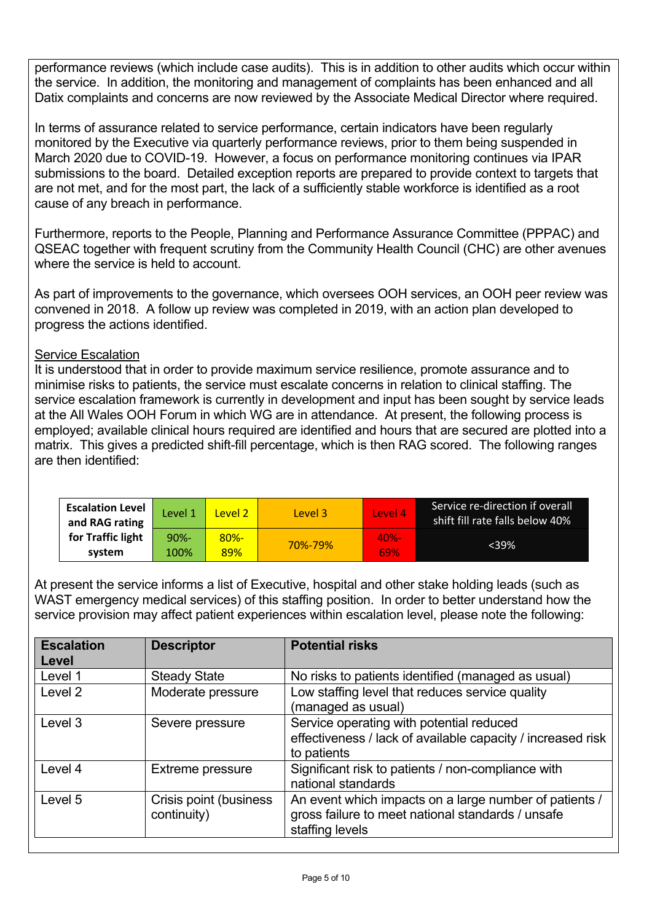performance reviews (which include case audits). This is in addition to other audits which occur within the service. In addition, the monitoring and management of complaints has been enhanced and all Datix complaints and concerns are now reviewed by the Associate Medical Director where required.

In terms of assurance related to service performance, certain indicators have been regularly monitored by the Executive via quarterly performance reviews, prior to them being suspended in March 2020 due to COVID-19. However, a focus on performance monitoring continues via IPAR submissions to the board. Detailed exception reports are prepared to provide context to targets that are not met, and for the most part, the lack of a sufficiently stable workforce is identified as a root cause of any breach in performance.

Furthermore, reports to the People, Planning and Performance Assurance Committee (PPPAC) and QSEAC together with frequent scrutiny from the Community Health Council (CHC) are other avenues where the service is held to account.

As part of improvements to the governance, which oversees OOH services, an OOH peer review was convened in 2018. A follow up review was completed in 2019, with an action plan developed to progress the actions identified.

### Service Escalation

It is understood that in order to provide maximum service resilience, promote assurance and to minimise risks to patients, the service must escalate concerns in relation to clinical staffing. The service escalation framework is currently in development and input has been sought by service leads at the All Wales OOH Forum in which WG are in attendance. At present, the following process is employed; available clinical hours required are identified and hours that are secured are plotted into a matrix. This gives a predicted shift-fill percentage, which is then RAG scored. The following ranges are then identified:

| <b>Escalation Level</b><br>and RAG rating | Level 1 | Level 2 | Level 3 | Level 4 | Service re-direction if overall<br>shift fill rate falls below 40% |
|-------------------------------------------|---------|---------|---------|---------|--------------------------------------------------------------------|
| for Traffic light                         | $90% -$ | $80% -$ | 70%-79% | $40% -$ | <39%                                                               |
| system                                    | 100%    | 89%     |         | 69%     |                                                                    |

At present the service informs a list of Executive, hospital and other stake holding leads (such as WAST emergency medical services) of this staffing position. In order to better understand how the service provision may affect patient experiences within escalation level, please note the following:

| <b>Escalation</b><br>Level | <b>Descriptor</b>                     | <b>Potential risks</b>                                                                                                         |
|----------------------------|---------------------------------------|--------------------------------------------------------------------------------------------------------------------------------|
| Level 1                    | <b>Steady State</b>                   | No risks to patients identified (managed as usual)                                                                             |
| Level 2                    | Moderate pressure                     | Low staffing level that reduces service quality<br>(managed as usual)                                                          |
| Level 3                    | Severe pressure                       | Service operating with potential reduced<br>effectiveness / lack of available capacity / increased risk<br>to patients         |
| Level 4                    | Extreme pressure                      | Significant risk to patients / non-compliance with<br>national standards                                                       |
| Level 5                    | Crisis point (business<br>continuity) | An event which impacts on a large number of patients /<br>gross failure to meet national standards / unsafe<br>staffing levels |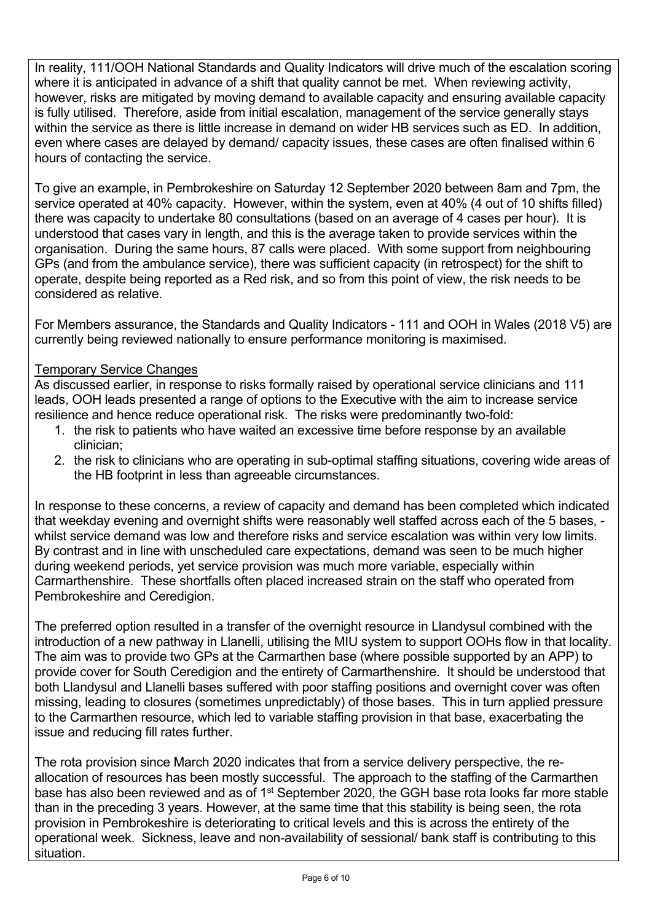In reality, 111/OOH National Standards and Quality Indicators will drive much of the escalation scoring where it is anticipated in advance of a shift that quality cannot be met. When reviewing activity, however, risks are mitigated by moving demand to available capacity and ensuring available capacity is fully utilised. Therefore, aside from initial escalation, management of the service generally stays within the service as there is little increase in demand on wider HB services such as ED. In addition, even where cases are delayed by demand/ capacity issues, these cases are often finalised within 6 hours of contacting the service.

To give an example, in Pembrokeshire on Saturday 12 September 2020 between 8am and 7pm, the service operated at 40% capacity. However, within the system, even at 40% (4 out of 10 shifts filled) there was capacity to undertake 80 consultations (based on an average of 4 cases per hour). It is understood that cases vary in length, and this is the average taken to provide services within the organisation. During the same hours, 87 calls were placed. With some support from neighbouring GPs (and from the ambulance service), there was sufficient capacity (in retrospect) for the shift to operate, despite being reported as a Red risk, and so from this point of view, the risk needs to be considered as relative.

For Members assurance, the Standards and Quality Indicators - 111 and OOH in Wales (2018 V5) are currently being reviewed nationally to ensure performance monitoring is maximised.

### Temporary Service Changes

As discussed earlier, in response to risks formally raised by operational service clinicians and 111 leads, OOH leads presented a range of options to the Executive with the aim to increase service resilience and hence reduce operational risk. The risks were predominantly two-fold:

- 1. the risk to patients who have waited an excessive time before response by an available clinician;
- 2. the risk to clinicians who are operating in sub-optimal staffing situations, covering wide areas of the HB footprint in less than agreeable circumstances.

In response to these concerns, a review of capacity and demand has been completed which indicated that weekday evening and overnight shifts were reasonably well staffed across each of the 5 bases, whilst service demand was low and therefore risks and service escalation was within very low limits. By contrast and in line with unscheduled care expectations, demand was seen to be much higher during weekend periods, yet service provision was much more variable, especially within Carmarthenshire. These shortfalls often placed increased strain on the staff who operated from Pembrokeshire and Ceredigion.

The preferred option resulted in a transfer of the overnight resource in Llandysul combined with the introduction of a new pathway in Llanelli, utilising the MIU system to support OOHs flow in that locality. The aim was to provide two GPs at the Carmarthen base (where possible supported by an APP) to provide cover for South Ceredigion and the entirety of Carmarthenshire. It should be understood that both Llandysul and Llanelli bases suffered with poor staffing positions and overnight cover was often missing, leading to closures (sometimes unpredictably) of those bases. This in turn applied pressure to the Carmarthen resource, which led to variable staffing provision in that base, exacerbating the issue and reducing fill rates further.

The rota provision since March 2020 indicates that from a service delivery perspective, the reallocation of resources has been mostly successful. The approach to the staffing of the Carmarthen base has also been reviewed and as of 1st September 2020, the GGH base rota looks far more stable than in the preceding 3 years. However, at the same time that this stability is being seen, the rota provision in Pembrokeshire is deteriorating to critical levels and this is across the entirety of the operational week. Sickness, leave and non-availability of sessional/ bank staff is contributing to this situation.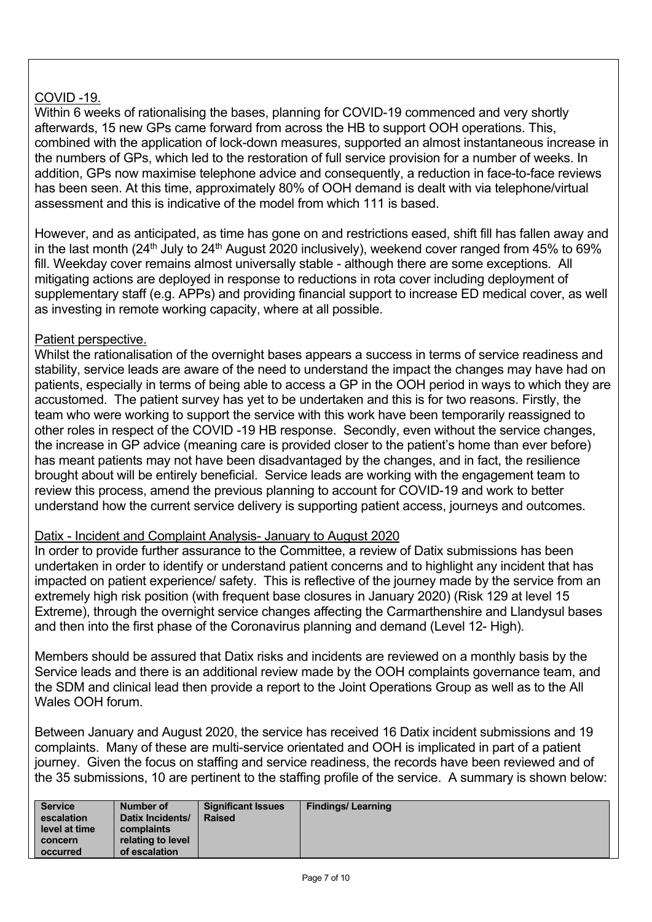# COVID -19.

Within 6 weeks of rationalising the bases, planning for COVID-19 commenced and very shortly afterwards, 15 new GPs came forward from across the HB to support OOH operations. This, combined with the application of lock-down measures, supported an almost instantaneous increase in the numbers of GPs, which led to the restoration of full service provision for a number of weeks. In addition, GPs now maximise telephone advice and consequently, a reduction in face-to-face reviews has been seen. At this time, approximately 80% of OOH demand is dealt with via telephone/virtual assessment and this is indicative of the model from which 111 is based.

However, and as anticipated, as time has gone on and restrictions eased, shift fill has fallen away and in the last month (24<sup>th</sup> July to 24<sup>th</sup> August 2020 inclusively), weekend cover ranged from 45% to 69% fill. Weekday cover remains almost universally stable - although there are some exceptions. All mitigating actions are deployed in response to reductions in rota cover including deployment of supplementary staff (e.g. APPs) and providing financial support to increase ED medical cover, as well as investing in remote working capacity, where at all possible.

### Patient perspective.

Whilst the rationalisation of the overnight bases appears a success in terms of service readiness and stability, service leads are aware of the need to understand the impact the changes may have had on patients, especially in terms of being able to access a GP in the OOH period in ways to which they are accustomed. The patient survey has yet to be undertaken and this is for two reasons. Firstly, the team who were working to support the service with this work have been temporarily reassigned to other roles in respect of the COVID -19 HB response. Secondly, even without the service changes, the increase in GP advice (meaning care is provided closer to the patient's home than ever before) has meant patients may not have been disadvantaged by the changes, and in fact, the resilience brought about will be entirely beneficial. Service leads are working with the engagement team to review this process, amend the previous planning to account for COVID-19 and work to better understand how the current service delivery is supporting patient access, journeys and outcomes.

#### Datix - Incident and Complaint Analysis- January to August 2020

In order to provide further assurance to the Committee, a review of Datix submissions has been undertaken in order to identify or understand patient concerns and to highlight any incident that has impacted on patient experience/ safety. This is reflective of the journey made by the service from an extremely high risk position (with frequent base closures in January 2020) (Risk 129 at level 15 Extreme), through the overnight service changes affecting the Carmarthenshire and Llandysul bases and then into the first phase of the Coronavirus planning and demand (Level 12- High).

Members should be assured that Datix risks and incidents are reviewed on a monthly basis by the Service leads and there is an additional review made by the OOH complaints governance team, and the SDM and clinical lead then provide a report to the Joint Operations Group as well as to the All Wales OOH forum.

Between January and August 2020, the service has received 16 Datix incident submissions and 19 complaints. Many of these are multi-service orientated and OOH is implicated in part of a patient journey. Given the focus on staffing and service readiness, the records have been reviewed and of the 35 submissions, 10 are pertinent to the staffing profile of the service. A summary is shown below:

| <b>Service</b><br>Number of<br>escalation<br>level at time<br>complaints<br>concern<br>of escalation<br>occurred | <b>Significant Issues</b><br>Datix Incidents/<br><b>Raised</b><br>relating to level | <b>Findings/Learning</b> |
|------------------------------------------------------------------------------------------------------------------|-------------------------------------------------------------------------------------|--------------------------|
|------------------------------------------------------------------------------------------------------------------|-------------------------------------------------------------------------------------|--------------------------|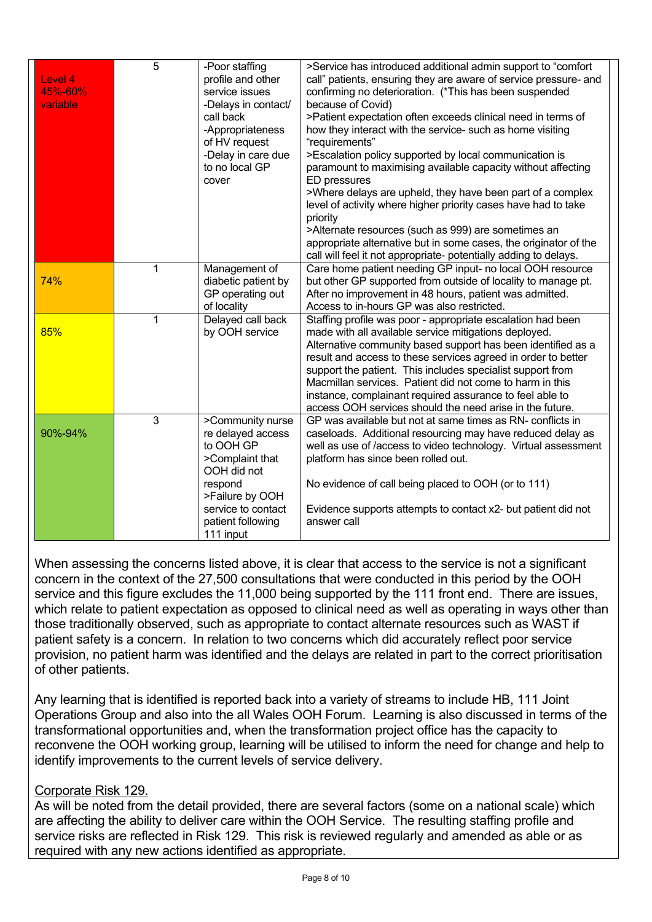| Level 4<br>45%-60%<br>variable | 5            | -Poor staffing<br>profile and other<br>service issues<br>-Delays in contact/<br>call back<br>-Appropriateness<br>of HV request<br>-Delay in care due<br>to no local GP<br>cover | >Service has introduced additional admin support to "comfort<br>call" patients, ensuring they are aware of service pressure- and<br>confirming no deterioration. (*This has been suspended<br>because of Covid)<br>>Patient expectation often exceeds clinical need in terms of<br>how they interact with the service- such as home visiting<br>"requirements"<br>>Escalation policy supported by local communication is<br>paramount to maximising available capacity without affecting<br>ED pressures<br>>Where delays are upheld, they have been part of a complex<br>level of activity where higher priority cases have had to take<br>priority<br>>Alternate resources (such as 999) are sometimes an<br>appropriate alternative but in some cases, the originator of the<br>call will feel it not appropriate- potentially adding to delays. |
|--------------------------------|--------------|---------------------------------------------------------------------------------------------------------------------------------------------------------------------------------|-----------------------------------------------------------------------------------------------------------------------------------------------------------------------------------------------------------------------------------------------------------------------------------------------------------------------------------------------------------------------------------------------------------------------------------------------------------------------------------------------------------------------------------------------------------------------------------------------------------------------------------------------------------------------------------------------------------------------------------------------------------------------------------------------------------------------------------------------------|
| 74%                            | $\mathbf{1}$ | Management of<br>diabetic patient by<br>GP operating out<br>of locality                                                                                                         | Care home patient needing GP input- no local OOH resource<br>but other GP supported from outside of locality to manage pt.<br>After no improvement in 48 hours, patient was admitted.<br>Access to in-hours GP was also restricted.                                                                                                                                                                                                                                                                                                                                                                                                                                                                                                                                                                                                                 |
| 85%                            | 1            | Delayed call back<br>by OOH service                                                                                                                                             | Staffing profile was poor - appropriate escalation had been<br>made with all available service mitigations deployed.<br>Alternative community based support has been identified as a<br>result and access to these services agreed in order to better<br>support the patient. This includes specialist support from<br>Macmillan services. Patient did not come to harm in this<br>instance, complainant required assurance to feel able to<br>access OOH services should the need arise in the future.                                                                                                                                                                                                                                                                                                                                             |
| 90%-94%                        | 3            | >Community nurse<br>re delayed access<br>to OOH GP<br>>Complaint that<br>OOH did not<br>respond<br>>Failure by OOH<br>service to contact<br>patient following<br>111 input      | GP was available but not at same times as RN- conflicts in<br>caseloads. Additional resourcing may have reduced delay as<br>well as use of /access to video technology. Virtual assessment<br>platform has since been rolled out.<br>No evidence of call being placed to OOH (or to 111)<br>Evidence supports attempts to contact x2- but patient did not<br>answer call                                                                                                                                                                                                                                                                                                                                                                                                                                                                            |

When assessing the concerns listed above, it is clear that access to the service is not a significant concern in the context of the 27,500 consultations that were conducted in this period by the OOH service and this figure excludes the 11,000 being supported by the 111 front end. There are issues, which relate to patient expectation as opposed to clinical need as well as operating in ways other than those traditionally observed, such as appropriate to contact alternate resources such as WAST if patient safety is a concern. In relation to two concerns which did accurately reflect poor service provision, no patient harm was identified and the delays are related in part to the correct prioritisation of other patients.

Any learning that is identified is reported back into a variety of streams to include HB, 111 Joint Operations Group and also into the all Wales OOH Forum. Learning is also discussed in terms of the transformational opportunities and, when the transformation project office has the capacity to reconvene the OOH working group, learning will be utilised to inform the need for change and help to identify improvements to the current levels of service delivery.

## Corporate Risk 129.

As will be noted from the detail provided, there are several factors (some on a national scale) which are affecting the ability to deliver care within the OOH Service. The resulting staffing profile and service risks are reflected in Risk 129. This risk is reviewed regularly and amended as able or as required with any new actions identified as appropriate.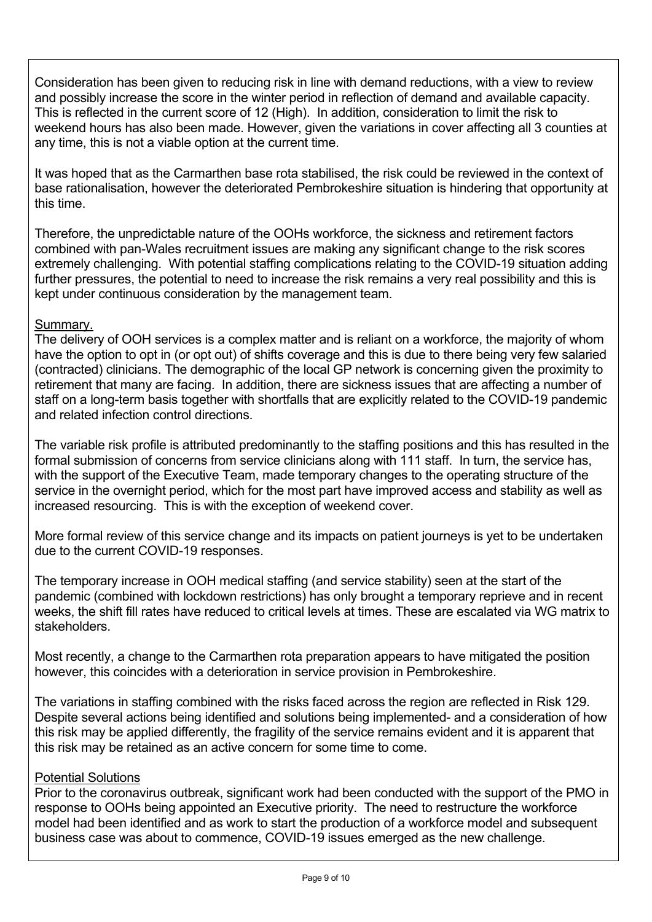Consideration has been given to reducing risk in line with demand reductions, with a view to review and possibly increase the score in the winter period in reflection of demand and available capacity. This is reflected in the current score of 12 (High). In addition, consideration to limit the risk to weekend hours has also been made. However, given the variations in cover affecting all 3 counties at any time, this is not a viable option at the current time.

It was hoped that as the Carmarthen base rota stabilised, the risk could be reviewed in the context of base rationalisation, however the deteriorated Pembrokeshire situation is hindering that opportunity at this time.

Therefore, the unpredictable nature of the OOHs workforce, the sickness and retirement factors combined with pan-Wales recruitment issues are making any significant change to the risk scores extremely challenging. With potential staffing complications relating to the COVID-19 situation adding further pressures, the potential to need to increase the risk remains a very real possibility and this is kept under continuous consideration by the management team.

## Summary.

The delivery of OOH services is a complex matter and is reliant on a workforce, the majority of whom have the option to opt in (or opt out) of shifts coverage and this is due to there being very few salaried (contracted) clinicians. The demographic of the local GP network is concerning given the proximity to retirement that many are facing. In addition, there are sickness issues that are affecting a number of staff on a long-term basis together with shortfalls that are explicitly related to the COVID-19 pandemic and related infection control directions.

The variable risk profile is attributed predominantly to the staffing positions and this has resulted in the formal submission of concerns from service clinicians along with 111 staff. In turn, the service has, with the support of the Executive Team, made temporary changes to the operating structure of the service in the overnight period, which for the most part have improved access and stability as well as increased resourcing. This is with the exception of weekend cover.

More formal review of this service change and its impacts on patient journeys is yet to be undertaken due to the current COVID-19 responses.

The temporary increase in OOH medical staffing (and service stability) seen at the start of the pandemic (combined with lockdown restrictions) has only brought a temporary reprieve and in recent weeks, the shift fill rates have reduced to critical levels at times. These are escalated via WG matrix to stakeholders.

Most recently, a change to the Carmarthen rota preparation appears to have mitigated the position however, this coincides with a deterioration in service provision in Pembrokeshire.

The variations in staffing combined with the risks faced across the region are reflected in Risk 129. Despite several actions being identified and solutions being implemented- and a consideration of how this risk may be applied differently, the fragility of the service remains evident and it is apparent that this risk may be retained as an active concern for some time to come.

#### Potential Solutions

Prior to the coronavirus outbreak, significant work had been conducted with the support of the PMO in response to OOHs being appointed an Executive priority. The need to restructure the workforce model had been identified and as work to start the production of a workforce model and subsequent business case was about to commence, COVID-19 issues emerged as the new challenge.